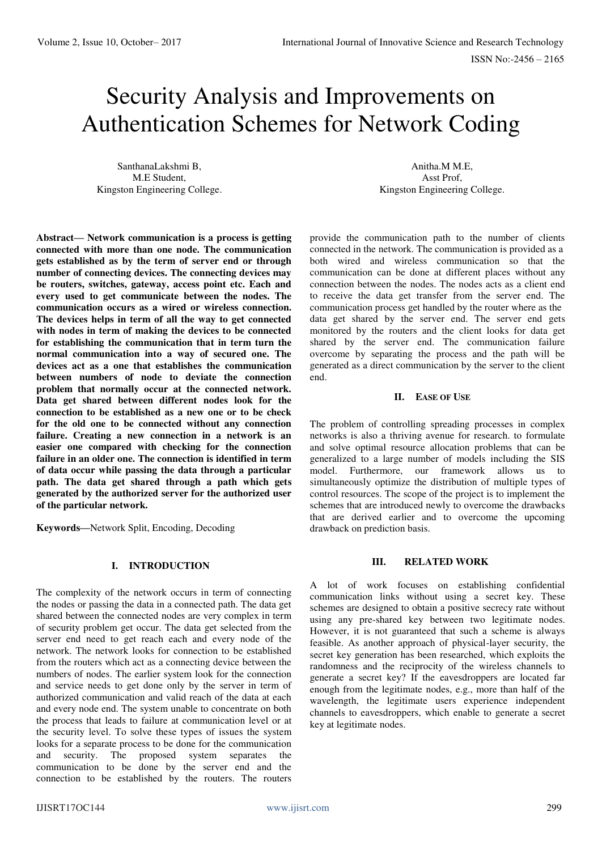# Security Analysis and Improvements on Authentication Schemes for Network Coding

SanthanaLakshmi B, M.E Student, Kingston Engineering College.

**Abstract— Network communication is a process is getting connected with more than one node. The communication gets established as by the term of server end or through number of connecting devices. The connecting devices may be routers, switches, gateway, access point etc. Each and every used to get communicate between the nodes. The communication occurs as a wired or wireless connection. The devices helps in term of all the way to get connected with nodes in term of making the devices to be connected for establishing the communication that in term turn the normal communication into a way of secured one. The devices act as a one that establishes the communication between numbers of node to deviate the connection problem that normally occur at the connected network. Data get shared between different nodes look for the connection to be established as a new one or to be check for the old one to be connected without any connection failure. Creating a new connection in a network is an easier one compared with checking for the connection failure in an older one. The connection is identified in term of data occur while passing the data through a particular path. The data get shared through a path which gets generated by the authorized server for the authorized user of the particular network.** 

**Keywords—**Network Split, Encoding, Decoding

## **I. INTRODUCTION**

The complexity of the network occurs in term of connecting the nodes or passing the data in a connected path. The data get shared between the connected nodes are very complex in term of security problem get occur. The data get selected from the server end need to get reach each and every node of the network. The network looks for connection to be established from the routers which act as a connecting device between the numbers of nodes. The earlier system look for the connection and service needs to get done only by the server in term of authorized communication and valid reach of the data at each and every node end. The system unable to concentrate on both the process that leads to failure at communication level or at the security level. To solve these types of issues the system looks for a separate process to be done for the communication and security. The proposed system separates the communication to be done by the server end and the connection to be established by the routers. The routers

Anitha.M M.E, Asst Prof, Kingston Engineering College.

provide the communication path to the number of clients connected in the network. The communication is provided as a both wired and wireless communication so that the communication can be done at different places without any connection between the nodes. The nodes acts as a client end to receive the data get transfer from the server end. The communication process get handled by the router where as the data get shared by the server end. The server end gets monitored by the routers and the client looks for data get shared by the server end. The communication failure overcome by separating the process and the path will be generated as a direct communication by the server to the client end.

# **II. EASE OF USE**

The problem of controlling spreading processes in complex networks is also a thriving avenue for research. to formulate and solve optimal resource allocation problems that can be generalized to a large number of models including the SIS model. Furthermore, our framework allows us to simultaneously optimize the distribution of multiple types of control resources. The scope of the project is to implement the schemes that are introduced newly to overcome the drawbacks that are derived earlier and to overcome the upcoming drawback on prediction basis.

# **III. RELATED WORK**

A lot of work focuses on establishing confidential communication links without using a secret key. These schemes are designed to obtain a positive secrecy rate without using any pre-shared key between two legitimate nodes. However, it is not guaranteed that such a scheme is always feasible. As another approach of physical-layer security, the secret key generation has been researched, which exploits the randomness and the reciprocity of the wireless channels to generate a secret key? If the eavesdroppers are located far enough from the legitimate nodes, e.g., more than half of the wavelength, the legitimate users experience independent channels to eavesdroppers, which enable to generate a secret key at legitimate nodes.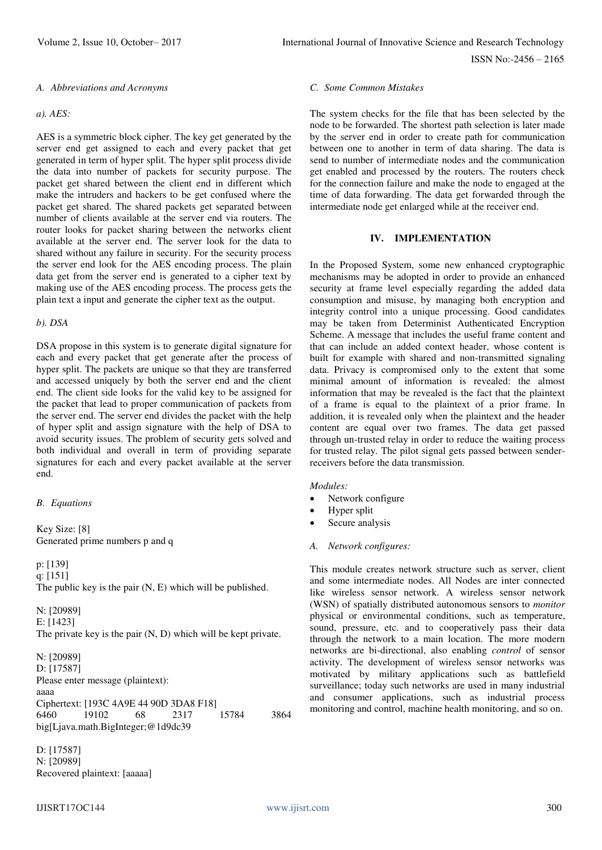ISSN No:-2456 – 2165

#### *A. Abbreviations and Acronyms*

# *a). AES:*

AES is a symmetric block cipher. The key get generated by the server end get assigned to each and every packet that get generated in term of hyper split. The hyper split process divide the data into number of packets for security purpose. The packet get shared between the client end in different which make the intruders and hackers to be get confused where the packet get shared. The shared packets get separated between number of clients available at the server end via routers. The router looks for packet sharing between the networks client available at the server end. The server look for the data to shared without any failure in security. For the security process the server end look for the AES encoding process. The plain data get from the server end is generated to a cipher text by making use of the AES encoding process. The process gets the plain text a input and generate the cipher text as the output.

#### *b). DSA*

DSA propose in this system is to generate digital signature for each and every packet that get generate after the process of hyper split. The packets are unique so that they are transferred and accessed uniquely by both the server end and the client end. The client side looks for the valid key to be assigned for the packet that lead to proper communication of packets from the server end. The server end divides the packet with the help of hyper split and assign signature with the help of DSA to avoid security issues. The problem of security gets solved and both individual and overall in term of providing separate signatures for each and every packet available at the server end.

#### *B. Equations*

Key Size: [8] Generated prime numbers p and q

p: [139] q: [151] The public key is the pair (N, E) which will be published.

N: [20989] E: [1423] The private key is the pair (N, D) which will be kept private.

N: [20989] D: [17587] Please enter message (plaintext): aaaa Ciphertext: [193C 4A9E 44 90D 3DA8 F18]<br>6460 19102 68 2317 15784 6460 19102 68 2317 15784 3864 big[Ljava.math.BigInteger;@1d9dc39

D: [17587] N: [20989] Recovered plaintext: [aaaaa]

# *C. Some Common Mistakes*

The system checks for the file that has been selected by the node to be forwarded. The shortest path selection is later made by the server end in order to create path for communication between one to another in term of data sharing. The data is send to number of intermediate nodes and the communication get enabled and processed by the routers. The routers check for the connection failure and make the node to engaged at the time of data forwarding. The data get forwarded through the intermediate node get enlarged while at the receiver end.

# **IV. IMPLEMENTATION**

In the Proposed System, some new enhanced cryptographic mechanisms may be adopted in order to provide an enhanced security at frame level especially regarding the added data consumption and misuse, by managing both encryption and integrity control into a unique processing. Good candidates may be taken from Determinist Authenticated Encryption Scheme. A message that includes the useful frame content and that can include an added context header, whose content is built for example with shared and non-transmitted signaling data. Privacy is compromised only to the extent that some minimal amount of information is revealed: the almost information that may be revealed is the fact that the plaintext of a frame is equal to the plaintext of a prior frame. In addition, it is revealed only when the plaintext and the header content are equal over two frames. The data get passed through un-trusted relay in order to reduce the waiting process for trusted relay. The pilot signal gets passed between senderreceivers before the data transmission.

#### *Modules:*

- Network configure
- Hyper split
- Secure analysis
- *A. Network configures:*

This module creates network structure such as server, client and some intermediate nodes. All Nodes are inter connected like wireless sensor network. A wireless sensor network (WSN) of spatially distributed autonomous sensors to *monitor* physical or environmental conditions, such as temperature, sound, pressure, etc. and to cooperatively pass their data through the network to a main location. The more modern networks are bi-directional, also enabling *control* of sensor activity. The development of wireless sensor networks was motivated by military applications such as battlefield surveillance; today such networks are used in many industrial and consumer applications, such as industrial process monitoring and control, machine health monitoring, and so on.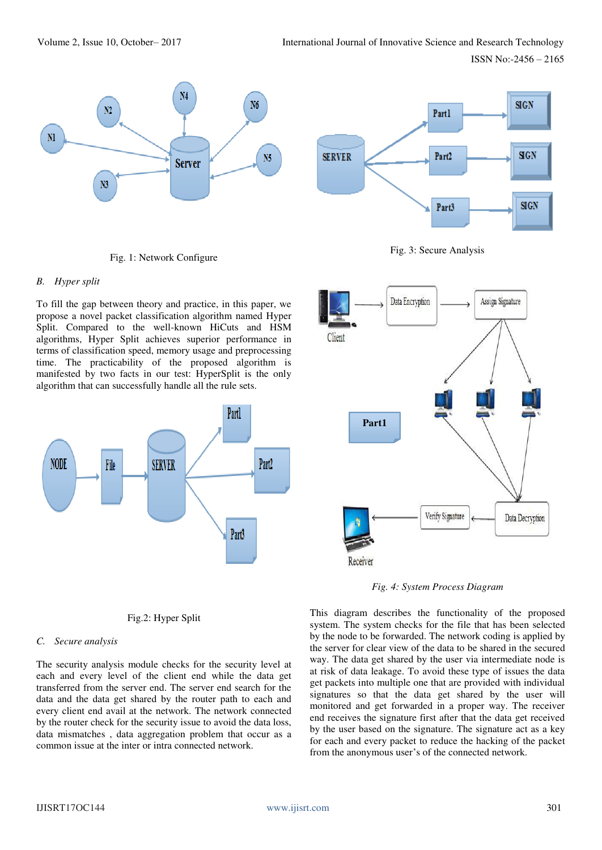ISSN No:-2456 – 2165



Fig. 1: Network Configure



To fill the gap between theory and practice, in this paper, we propose a novel packet classification algorithm named Hyper Split. Compared to the well-known HiCuts and HSM algorithms, Hyper Split achieves superior performance in terms of classification speed, memory usage and preprocessing time. The practicability of the proposed algorithm is manifested by two facts in our test: HyperSplit is the only algorithm that can successfully handle all the rule sets.









*Fig. 4: System Process Diagram* 

Fig.2: Hyper Split

# *C. Secure analysis*

The security analysis module checks for the security level at each and every level of the client end while the data get transferred from the server end. The server end search for the data and the data get shared by the router path to each and every client end avail at the network. The network connected by the router check for the security issue to avoid the data loss, data mismatches , data aggregation problem that occur as a common issue at the inter or intra connected network.

This diagram describes the functionality of the proposed system. The system checks for the file that has been selected by the node to be forwarded. The network coding is applied by the server for clear view of the data to be shared in the secured way. The data get shared by the user via intermediate node is at risk of data leakage. To avoid these type of issues the data get packets into multiple one that are provided with individual signatures so that the data get shared by the user will monitored and get forwarded in a proper way. The receiver end receives the signature first after that the data get received by the user based on the signature. The signature act as a key for each and every packet to reduce the hacking of the packet from the anonymous user's of the connected network.